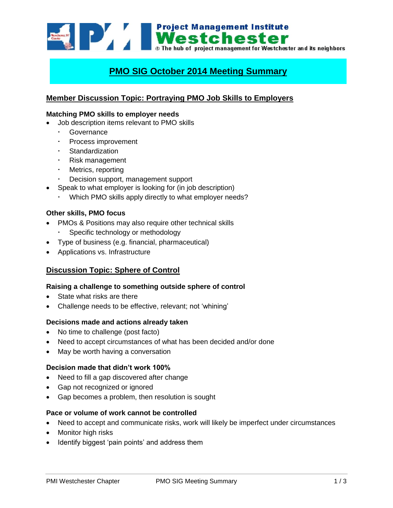Westchester and its neighbors of the bub of project management for Westchester and its neighbors

# **PMO SIG October 2014 Meeting Summary**

# **Member Discussion Topic: Portraying PMO Job Skills to Employers**

### **Matching PMO skills to employer needs**

- Job description items relevant to PMO skills
	- Governance
	- Process improvement
	- Standardization
	- Risk management
	- Metrics, reporting
	- Decision support, management support
- Speak to what employer is looking for (in job description)
	- Which PMO skills apply directly to what employer needs?

### **Other skills, PMO focus**

- PMOs & Positions may also require other technical skills Specific technology or methodology
- Type of business (e.g. financial, pharmaceutical)
- Applications vs. Infrastructure

# **Discussion Topic: Sphere of Control**

#### **Raising a challenge to something outside sphere of control**

- State what risks are there
- Challenge needs to be effective, relevant; not 'whining'

#### **Decisions made and actions already taken**

- No time to challenge (post facto)
- Need to accept circumstances of what has been decided and/or done
- May be worth having a conversation

#### **Decision made that didn't work 100%**

- Need to fill a gap discovered after change
- Gap not recognized or ignored
- Gap becomes a problem, then resolution is sought

## **Pace or volume of work cannot be controlled**

- Need to accept and communicate risks, work will likely be imperfect under circumstances
- Monitor high risks
- Identify biggest 'pain points' and address them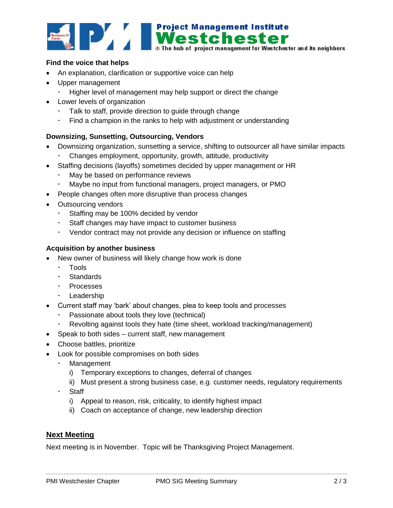

## **Find the voice that helps**

- An explanation, clarification or supportive voice can help
- Upper management
	- Higher level of management may help support or direct the change
- Lower levels of organization
	- Talk to staff, provide direction to guide through change
	- Find a champion in the ranks to help with adjustment or understanding

### **Downsizing, Sunsetting, Outsourcing, Vendors**

- Downsizing organization, sunsetting a service, shifting to outsourcer all have similar impacts
	- Changes employment, opportunity, growth, attitude, productivity
- Staffing decisions (layoffs) sometimes decided by upper management or HR
	- May be based on performance reviews
	- Maybe no input from functional managers, project managers, or PMO
- People changes often more disruptive than process changes
- Outsourcing vendors
	- Staffing may be 100% decided by vendor
	- Staff changes may have impact to customer business
	- Vendor contract may not provide any decision or influence on staffing

### **Acquisition by another business**

- New owner of business will likely change how work is done
	- Tools
	- Standards
	- · Processes
	- · Leadership
- Current staff may 'bark' about changes, plea to keep tools and processes
	- Passionate about tools they love (technical)
	- Revolting against tools they hate (time sheet, workload tracking/management)
- Speak to both sides current staff, new management
- Choose battles, prioritize
- Look for possible compromises on both sides
	- Management
		- i) Temporary exceptions to changes, deferral of changes
		- ii) Must present a strong business case, e.g. customer needs, regulatory requirements
	- Staff
		- i) Appeal to reason, risk, criticality, to identify highest impact
		- ii) Coach on acceptance of change, new leadership direction

## **Next Meeting**

Next meeting is in November. Topic will be Thanksgiving Project Management.